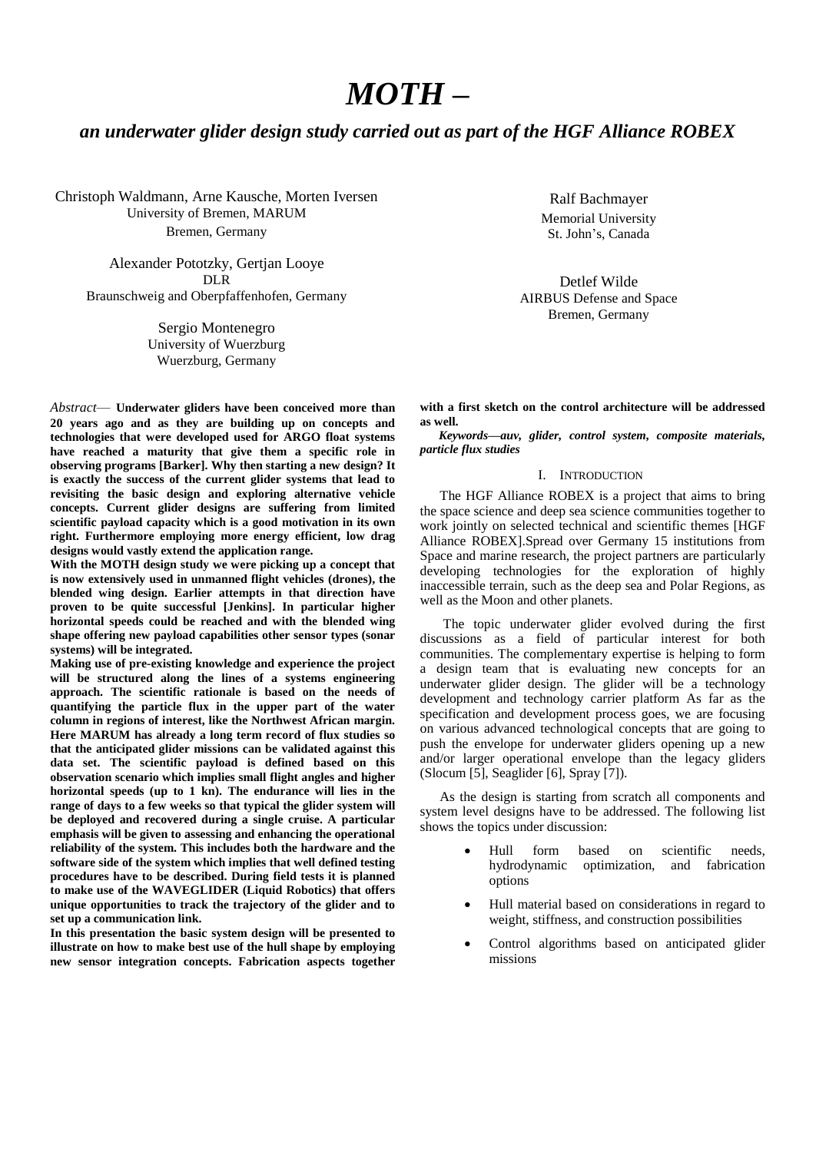# *MOTH –*

# *an underwater glider design study carried out as part of the HGF Alliance ROBEX*

Christoph Waldmann, Arne Kausche, Morten Iversen University of Bremen, MARUM Bremen, Germany

Alexander Pototzky, Gertjan Looye DLR Braunschweig and Oberpfaffenhofen, Germany

> Sergio Montenegro University of Wuerzburg Wuerzburg, Germany

*Abstract*— **Underwater gliders have been conceived more than 20 years ago and as they are building up on concepts and technologies that were developed used for ARGO float systems have reached a maturity that give them a specific role in observing programs [Barker]. Why then starting a new design? It is exactly the success of the current glider systems that lead to revisiting the basic design and exploring alternative vehicle concepts. Current glider designs are suffering from limited scientific payload capacity which is a good motivation in its own right. Furthermore employing more energy efficient, low drag designs would vastly extend the application range.**

**With the MOTH design study we were picking up a concept that is now extensively used in unmanned flight vehicles (drones), the blended wing design. Earlier attempts in that direction have proven to be quite successful [Jenkins]. In particular higher horizontal speeds could be reached and with the blended wing shape offering new payload capabilities other sensor types (sonar systems) will be integrated.**

**Making use of pre-existing knowledge and experience the project will be structured along the lines of a systems engineering approach. The scientific rationale is based on the needs of quantifying the particle flux in the upper part of the water column in regions of interest, like the Northwest African margin. Here MARUM has already a long term record of flux studies so that the anticipated glider missions can be validated against this data set. The scientific payload is defined based on this observation scenario which implies small flight angles and higher horizontal speeds (up to 1 kn). The endurance will lies in the range of days to a few weeks so that typical the glider system will be deployed and recovered during a single cruise. A particular emphasis will be given to assessing and enhancing the operational reliability of the system. This includes both the hardware and the software side of the system which implies that well defined testing procedures have to be described. During field tests it is planned to make use of the WAVEGLIDER (Liquid Robotics) that offers unique opportunities to track the trajectory of the glider and to set up a communication link.**

**In this presentation the basic system design will be presented to illustrate on how to make best use of the hull shape by employing new sensor integration concepts. Fabrication aspects together** 

Ralf Bachmayer Memorial University St. John's, Canada

Detlef Wilde AIRBUS Defense and Space Bremen, Germany

**with a first sketch on the control architecture will be addressed as well.**

*Keywords—auv, glider, control system, composite materials, particle flux studies*

#### I. INTRODUCTION

The HGF Alliance ROBEX is a project that aims to bring the space science and deep sea science communities together to work jointly on selected technical and scientific themes [HGF Alliance ROBEX].Spread over Germany 15 institutions from Space and marine research, the project partners are particularly developing technologies for the exploration of highly inaccessible terrain, such as the deep sea and Polar Regions, as well as the Moon and other planets.

The topic underwater glider evolved during the first discussions as a field of particular interest for both communities. The complementary expertise is helping to form a design team that is evaluating new concepts for an underwater glider design. The glider will be a technology development and technology carrier platform As far as the specification and development process goes, we are focusing on various advanced technological concepts that are going to push the envelope for underwater gliders opening up a new and/or larger operational envelope than the legacy gliders (Slocum [5], Seaglider [6], Spray [7]).

As the design is starting from scratch all components and system level designs have to be addressed. The following list shows the topics under discussion:

- Hull form based on scientific needs, hydrodynamic optimization, and fabrication options
- Hull material based on considerations in regard to weight, stiffness, and construction possibilities
- Control algorithms based on anticipated glider missions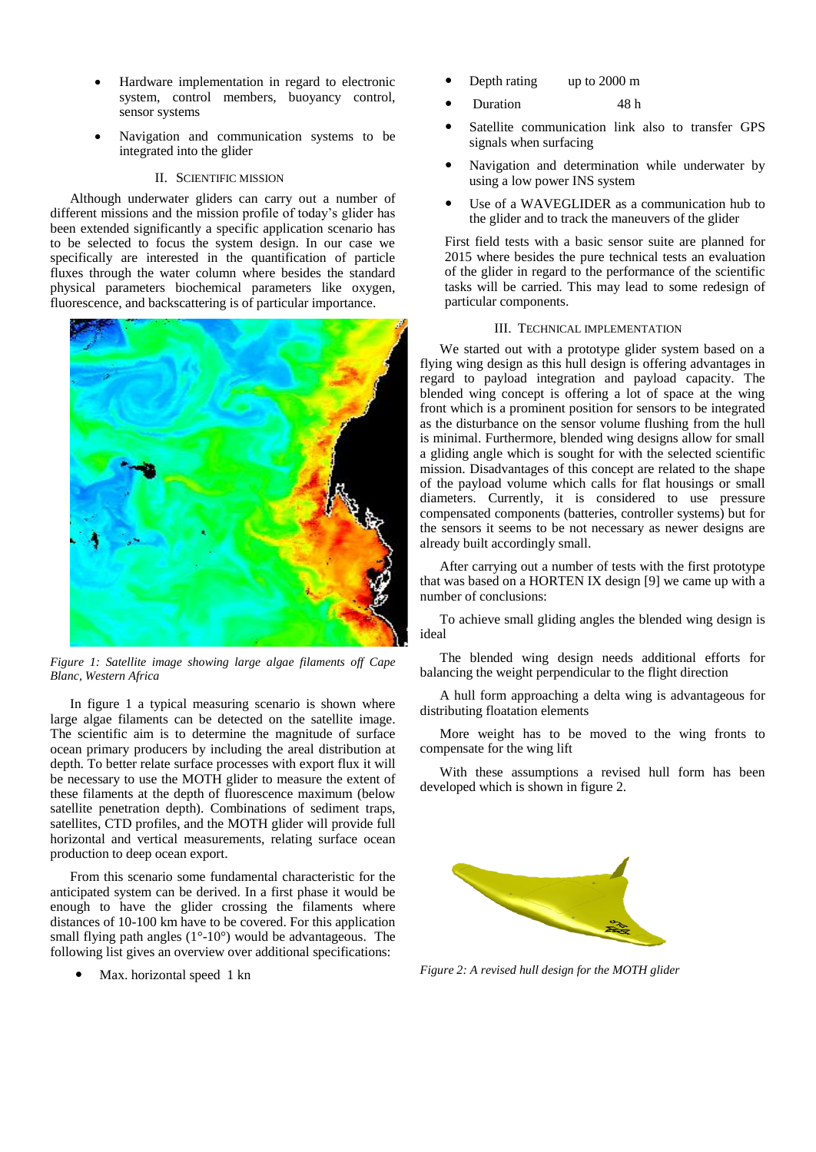- Hardware implementation in regard to electronic system, control members, buoyancy control, sensor systems
- Navigation and communication systems to be integrated into the glider

# II. SCIENTIFIC MISSION

Although underwater gliders can carry out a number of different missions and the mission profile of today's glider has been extended significantly a specific application scenario has to be selected to focus the system design. In our case we specifically are interested in the quantification of particle fluxes through the water column where besides the standard physical parameters biochemical parameters like oxygen, fluorescence, and backscattering is of particular importance.



*Figure 1: Satellite image showing large algae filaments off Cape Blanc, Western Africa*

In figure 1 a typical measuring scenario is shown where large algae filaments can be detected on the satellite image. The scientific aim is to determine the magnitude of surface ocean primary producers by including the areal distribution at depth. To better relate surface processes with export flux it will be necessary to use the MOTH glider to measure the extent of these filaments at the depth of fluorescence maximum (below satellite penetration depth). Combinations of sediment traps, satellites, CTD profiles, and the MOTH glider will provide full horizontal and vertical measurements, relating surface ocean production to deep ocean export.

From this scenario some fundamental characteristic for the anticipated system can be derived. In a first phase it would be enough to have the glider crossing the filaments where distances of 10-100 km have to be covered. For this application small flying path angles  $(1^{\circ}$ -10°) would be advantageous. The following list gives an overview over additional specifications:

Max. horizontal speed 1 kn

- Depth rating up to 2000 m
- Duration 48 h
- Satellite communication link also to transfer GPS signals when surfacing
- Navigation and determination while underwater by using a low power INS system
- Use of a WAVEGLIDER as a communication hub to the glider and to track the maneuvers of the glider

First field tests with a basic sensor suite are planned for 2015 where besides the pure technical tests an evaluation of the glider in regard to the performance of the scientific tasks will be carried. This may lead to some redesign of particular components.

### III. TECHNICAL IMPLEMENTATION

We started out with a prototype glider system based on a flying wing design as this hull design is offering advantages in regard to payload integration and payload capacity. The blended wing concept is offering a lot of space at the wing front which is a prominent position for sensors to be integrated as the disturbance on the sensor volume flushing from the hull is minimal. Furthermore, blended wing designs allow for small a gliding angle which is sought for with the selected scientific mission. Disadvantages of this concept are related to the shape of the payload volume which calls for flat housings or small diameters. Currently, it is considered to use pressure compensated components (batteries, controller systems) but for the sensors it seems to be not necessary as newer designs are already built accordingly small.

After carrying out a number of tests with the first prototype that was based on a HORTEN IX design [9] we came up with a number of conclusions:

To achieve small gliding angles the blended wing design is ideal

The blended wing design needs additional efforts for balancing the weight perpendicular to the flight direction

A hull form approaching a delta wing is advantageous for distributing floatation elements

More weight has to be moved to the wing fronts to compensate for the wing lift

With these assumptions a revised hull form has been developed which is shown in figure 2.



*Figure 2: A revised hull design for the MOTH glider*